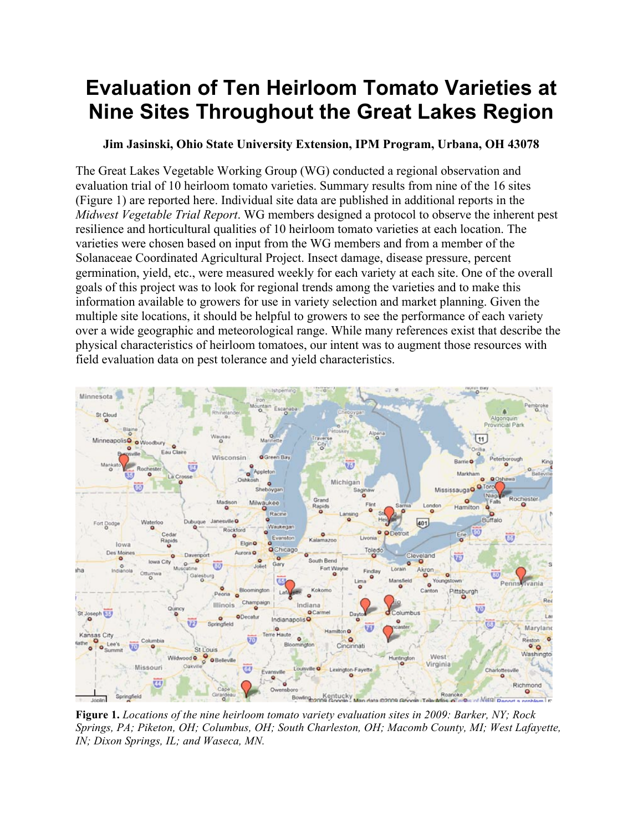## **Evaluation of Ten Heirloom Tomato Varieties at Nine Sites Throughout the Great Lakes Region**

## **Jim Jasinski, Ohio State University Extension, IPM Program, Urbana, OH 43078**

The Great Lakes Vegetable Working Group (WG) conducted a regional observation and evaluation trial of 10 heirloom tomato varieties. Summary results from nine of the 16 sites (Figure 1) are reported here. Individual site data are published in additional reports in the *Midwest Vegetable Trial Report*. WG members designed a protocol to observe the inherent pest resilience and horticultural qualities of 10 heirloom tomato varieties at each location. The varieties were chosen based on input from the WG members and from a member of the Solanaceae Coordinated Agricultural Project. Insect damage, disease pressure, percent germination, yield, etc., were measured weekly for each variety at each site. One of the overall goals of this project was to look for regional trends among the varieties and to make this information available to growers for use in variety selection and market planning. Given the multiple site locations, it should be helpful to growers to see the performance of each variety over a wide geographic and meteorological range. While many references exist that describe the physical characteristics of heirloom tomatoes, our intent was to augment those resources with field evaluation data on pest tolerance and yield characteristics.



**Figure 1.** *Locations of the nine heirloom tomato variety evaluation sites in 2009: Barker, NY; Rock Springs, PA; Piketon, OH; Columbus, OH; South Charleston, OH; Macomb County, MI; West Lafayette, IN; Dixon Springs, IL; and Waseca, MN.*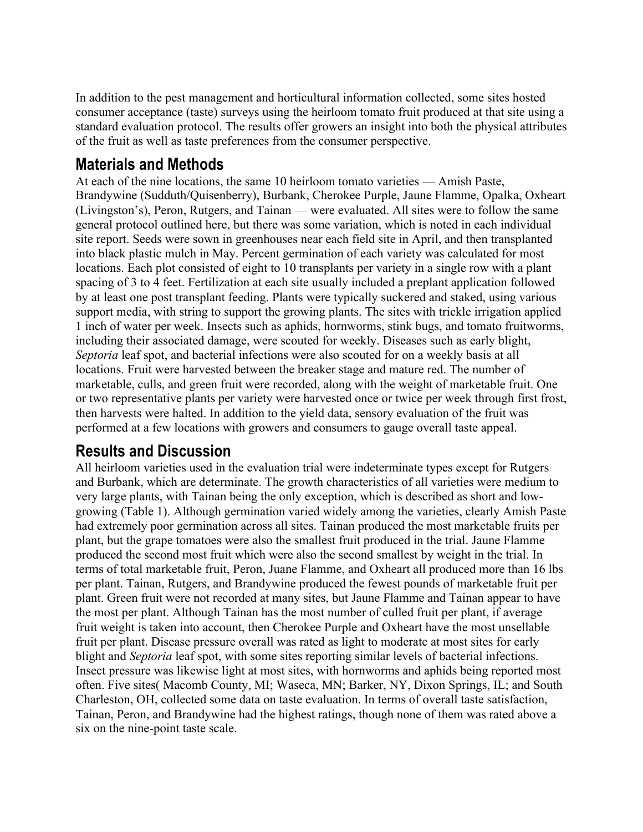In addition to the pest management and horticultural information collected, some sites hosted consumer acceptance (taste) surveys using the heirloom tomato fruit produced at that site using a standard evaluation protocol. The results offer growers an insight into both the physical attributes of the fruit as well as taste preferences from the consumer perspective.

## **Materials and Methods**

At each of the nine locations, the same 10 heirloom tomato varieties — Amish Paste, Brandywine (Sudduth/Quisenberry), Burbank, Cherokee Purple, Jaune Flamme, Opalka, Oxheart (Livingston's), Peron, Rutgers, and Tainan — were evaluated. All sites were to follow the same general protocol outlined here, but there was some variation, which is noted in each individual site report. Seeds were sown in greenhouses near each field site in April, and then transplanted into black plastic mulch in May. Percent germination of each variety was calculated for most locations. Each plot consisted of eight to 10 transplants per variety in a single row with a plant spacing of 3 to 4 feet. Fertilization at each site usually included a preplant application followed by at least one post transplant feeding. Plants were typically suckered and staked, using various support media, with string to support the growing plants. The sites with trickle irrigation applied 1 inch of water per week. Insects such as aphids, hornworms, stink bugs, and tomato fruitworms, including their associated damage, were scouted for weekly. Diseases such as early blight, *Septoria* leaf spot, and bacterial infections were also scouted for on a weekly basis at all locations. Fruit were harvested between the breaker stage and mature red. The number of marketable, culls, and green fruit were recorded, along with the weight of marketable fruit. One or two representative plants per variety were harvested once or twice per week through first frost, then harvests were halted. In addition to the yield data, sensory evaluation of the fruit was performed at a few locations with growers and consumers to gauge overall taste appeal.

## **Results and Discussion**

All heirloom varieties used in the evaluation trial were indeterminate types except for Rutgers and Burbank, which are determinate. The growth characteristics of all varieties were medium to very large plants, with Tainan being the only exception, which is described as short and lowgrowing (Table 1). Although germination varied widely among the varieties, clearly Amish Paste had extremely poor germination across all sites. Tainan produced the most marketable fruits per plant, but the grape tomatoes were also the smallest fruit produced in the trial. Jaune Flamme produced the second most fruit which were also the second smallest by weight in the trial. In terms of total marketable fruit, Peron, Juane Flamme, and Oxheart all produced more than 16 lbs per plant. Tainan, Rutgers, and Brandywine produced the fewest pounds of marketable fruit per plant. Green fruit were not recorded at many sites, but Jaune Flamme and Tainan appear to have the most per plant. Although Tainan has the most number of culled fruit per plant, if average fruit weight is taken into account, then Cherokee Purple and Oxheart have the most unsellable fruit per plant. Disease pressure overall was rated as light to moderate at most sites for early blight and *Septoria* leaf spot, with some sites reporting similar levels of bacterial infections. Insect pressure was likewise light at most sites, with hornworms and aphids being reported most often. Five sites( Macomb County, MI; Waseca, MN; Barker, NY, Dixon Springs, IL; and South Charleston, OH, collected some data on taste evaluation. In terms of overall taste satisfaction, Tainan, Peron, and Brandywine had the highest ratings, though none of them was rated above a six on the nine-point taste scale.